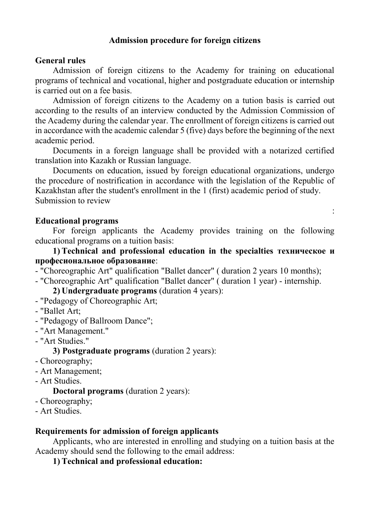## **Admission procedure for foreign citizens**

### **General rules**

Admission of foreign citizens to the Academy for training on educational programs of technical and vocational, higher and postgraduate education or internship is carried out on a fee basis.

Admission of foreign citizens to the Academy on a tution basis is carried out according to the results of an interview conducted by the Admission Commission of the Academy during the calendar year. The enrollment of foreign citizens is carried out in accordance with the academic calendar 5 (five) days before the beginning of the next academic period.

Documents in a foreign language shall be provided with a notarized certified translation into Kazakh or Russian language.

Documents on education, issued by foreign educational organizations, undergo the procedure of nostrification in accordance with the legislation of the Republic of Kazakhstan after the student's enrollment in the 1 (first) academic period of study. Submission to review

:

### **Educational programs**

For foreign applicants the Academy provides training on the following educational programs on a tuition basis:

**1) Technical and professional education in the specialties техническое и професиональное образование**:

- "Choreographic Art" qualification "Ballet dancer" ( duration 2 years 10 months);
- "Choreographic Art" qualification "Ballet dancer" ( duration 1 year) internship.

**2) Undergraduate programs** (duration 4 years):

- "Pedagogy of Choreographic Art;
- "Ballet Art;
- "Pedagogy of Ballroom Dance";
- "Art Management."
- "Art Studies."

### **3) Postgraduate programs** (duration 2 years):

- Choreography;
- Art Management;
- Art Studies.

### **Doctoral programs** (duration 2 years):

- Choreography;
- Art Studies.

#### **Requirements for admission of foreign applicants**

Applicants, who are interested in enrolling and studying on a tuition basis at the Academy should send the following to the email address:

**1) Technical and professional education:**